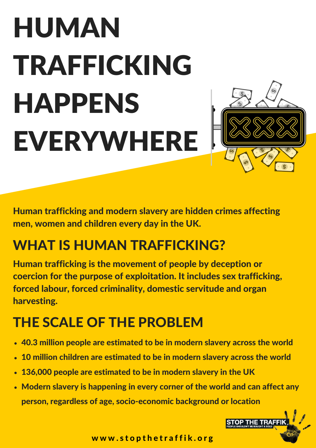# HUMAN TRAFFICKING HAPPENS EVERYWHERE



Human trafficking and modern slavery are hidden crimes affecting men, women and children every day in the UK.

#### WHAT IS HUMAN TRAFFICKING?

Human trafficking is the movement of people by deception or coercion for the purpose of exploitation. It includes sex trafficking, forced labour, forced criminality, domestic servitude and organ harvesting.

#### THE SCALE OF THE PROBLEM

- 40.3 million people are estimated to be in modern slavery across the world
- 10 million children are estimated to be in modern slavery across the world
- 136,000 people are estimated to be in modern slavery in the UK
- Modern slavery is happening in every corner of the world and can affect any person, regardless of age, socio-economic background or location



www.stopthetraffik.org